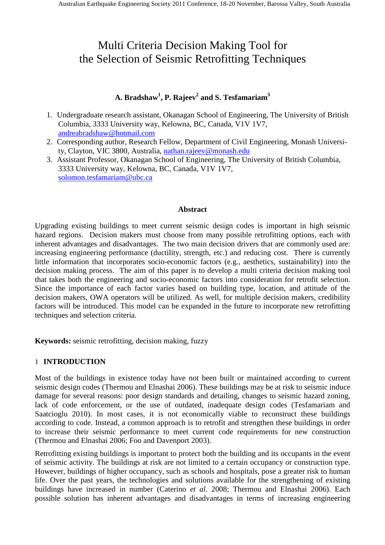# Multi Criteria Decision Making Tool for the Selection of Seismic Retrofitting Techniques

# **A. Bradshaw<sup>1</sup> , P. Rajeev<sup>2</sup> and S. Tesfamariam<sup>3</sup>**

- 1. Undergraduate research assistant, Okanagan School of Engineering, The University of British Columbia, 3333 University way, Kelowna, BC, Canada, V1V 1V7, andreabradshaw@hotmail.com
- 2. Corresponding author, Research Fellow, Department of Civil Engineering, Monash University, Clayton, VIC 3800, Australia, nathan.rajeev@monash.edu
- 3. Assistant Professor, Okanagan School of Engineering, The University of British Columbia, 3333 University way, Kelowna, BC, Canada, V1V 1V7, solomon.tesfamariam@ubc.ca

## **Abstract**

Upgrading existing buildings to meet current seismic design codes is important in high seismic hazard regions. Decision makers must choose from many possible retrofitting options, each with inherent advantages and disadvantages. The two main decision drivers that are commonly used are: increasing engineering performance (ductility, strength, etc.) and reducing cost. There is currently little information that incorporates socio-economic factors (e.g., aesthetics, sustainability) into the decision making process. The aim of this paper is to develop a multi criteria decision making tool that takes both the engineering and socio-economic factors into consideration for retrofit selection. Since the importance of each factor varies based on building type, location, and attitude of the decision makers, OWA operators will be utilized. As well, for multiple decision makers, credibility factors will be introduced. This model can be expanded in the future to incorporate new retrofitting techniques and selection criteria.

**Keywords:** seismic retrofitting, decision making, fuzzy

## 1 **INTRODUCTION**

Most of the buildings in existence today have not been built or maintained according to current seismic design codes (Thermou and Elnashai 2006). These buildings may be at risk to seismic induce damage for several reasons: poor design standards and detailing, changes to seismic hazard zoning, lack of code enforcement, or the use of outdated, inadequate design codes (Tesfamariam and Saatcioglu 2010). In most cases, it is not economically viable to reconstruct these buildings according to code. Instead, a common approach is to retrofit and strengthen these buildings in order to increase their seismic performance to meet current code requirements for new construction (Thermou and Elnashai 2006; Foo and Davenport 2003).

Retrofitting existing buildings is important to protect both the building and its occupants in the event of seismic activity. The buildings at risk are not limited to a certain occupancy or construction type. However, buildings of higher occupancy, such as schools and hospitals, pose a greater risk to human life. Over the past years, the technologies and solutions available for the strengthening of existing buildings have increased in number (Caterino *et al*. 2008; Thermou and Elnashai 2006). Each possible solution has inherent advantages and disadvantages in terms of increasing engineering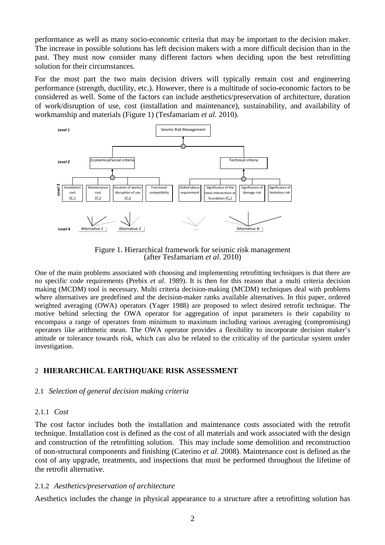performance as well as many socio-economic criteria that may be important to the decision maker. The increase in possible solutions has left decision makers with a more difficult decision than in the past. They must now consider many different factors when deciding upon the best retrofitting solution for their circumstances.

For the most part the two main decision drivers will typically remain cost and engineering performance (strength, ductility, etc.). However, there is a multitude of socio-economic factors to be considered as well. Some of the factors can include aesthetics/preservation of architecture, duration of work/disruption of use, cost (installation and maintenance), sustainability, and availability of workmanship and materials (Figure 1) (Tesfamariam *et al.* 2010).



Figure 1. Hierarchical framework for seismic risk management (after Tesfamariam *et al*. 2010)

One of the main problems associated with choosing and implementing retrofitting techniques is that there are no specific code requirements (Prebix *et al*. 1989). It is then for this reason that a multi criteria decision making (MCDM) tool is necessary. Multi criteria decision-making (MCDM) techniques deal with problems where alternatives are predefined and the decision-maker ranks available alternatives. In this paper, ordered weighted averaging (OWA) operators (Yager 1988) are proposed to select desired retrofit technique. The motive behind selecting the OWA operator for aggregation of input parameters is their capability to encompass a range of operators from minimum to maximum including various averaging (compromising) operators like arithmetic mean. The OWA operator provides a flexibility to incorporate decision maker's attitude or tolerance towards risk, which can also be related to the criticality of the particular system under investigation.

## 2 **HIERARCHICAL EARTHQUAKE RISK ASSESSMENT**

## 2.1 *Selection of general decision making criteria*

## 2.1.1 *Cost*

The cost factor includes both the installation and maintenance costs associated with the retrofit technique. Installation cost is defined as the cost of all materials and work associated with the design and construction of the retrofitting solution. This may include some demolition and reconstruction of non-structural components and finishing (Caterino *et al.* 2008). Maintenance cost is defined as the cost of any upgrade, treatments, and inspections that must be performed throughout the lifetime of the retrofit alternative.

## 2.1.2 *Aesthetics/preservation of architecture*

Aesthetics includes the change in physical appearance to a structure after a retrofitting solution has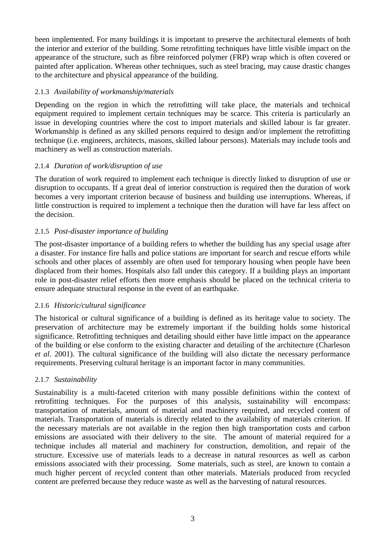been implemented. For many buildings it is important to preserve the architectural elements of both the interior and exterior of the building. Some retrofitting techniques have little visible impact on the appearance of the structure, such as fibre reinforced polymer (FRP) wrap which is often covered or painted after application. Whereas other techniques, such as steel bracing, may cause drastic changes to the architecture and physical appearance of the building.

## 2.1.3 *Availability of workmanship/materials*

Depending on the region in which the retrofitting will take place, the materials and technical equipment required to implement certain techniques may be scarce. This criteria is particularly an issue in developing countries where the cost to import materials and skilled labour is far greater. Workmanship is defined as any skilled persons required to design and/or implement the retrofitting technique (i.e. engineers, architects, masons, skilled labour persons). Materials may include tools and machinery as well as construction materials.

## 2.1.4 *Duration of work/disruption of use*

The duration of work required to implement each technique is directly linked to disruption of use or disruption to occupants. If a great deal of interior construction is required then the duration of work becomes a very important criterion because of business and building use interruptions. Whereas, if little construction is required to implement a technique then the duration will have far less affect on the decision.

## 2.1.5 *Post-disaster importance of building*

The post-disaster importance of a building refers to whether the building has any special usage after a disaster. For instance fire halls and police stations are important for search and rescue efforts while schools and other places of assembly are often used for temporary housing when people have been displaced from their homes. Hospitals also fall under this category. If a building plays an important role in post-disaster relief efforts then more emphasis should be placed on the technical criteria to ensure adequate structural response in the event of an earthquake.

## 2.1.6 *Historic/cultural significance*

The historical or cultural significance of a building is defined as its heritage value to society. The preservation of architecture may be extremely important if the building holds some historical significance. Retrofitting techniques and detailing should either have little impact on the appearance of the building or else conform to the existing character and detailing of the architecture (Charleson *et al*. 2001). The cultural significance of the building will also dictate the necessary performance requirements. Preserving cultural heritage is an important factor in many communities.

## 2.1.7 *Sustainability*

Sustainability is a multi-faceted criterion with many possible definitions within the context of retrofitting techniques. For the purposes of this analysis, sustainability will encompass: transportation of materials, amount of material and machinery required, and recycled content of materials. Transportation of materials is directly related to the availability of materials criterion. If the necessary materials are not available in the region then high transportation costs and carbon emissions are associated with their delivery to the site. The amount of material required for a technique includes all material and machinery for construction, demolition, and repair of the structure. Excessive use of materials leads to a decrease in natural resources as well as carbon emissions associated with their processing. Some materials, such as steel, are known to contain a much higher percent of recycled content than other materials. Materials produced from recycled content are preferred because they reduce waste as well as the harvesting of natural resources.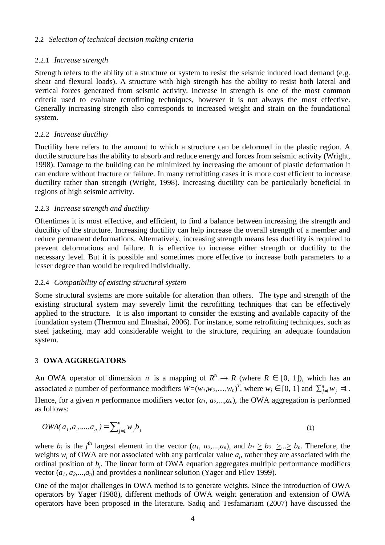## 2.2 *Selection of technical decision making criteria*

## 2.2.1 *Increase strength*

Strength refers to the ability of a structure or system to resist the seismic induced load demand (e.g. shear and flexural loads). A structure with high strength has the ability to resist both lateral and vertical forces generated from seismic activity. Increase in strength is one of the most common criteria used to evaluate retrofitting techniques, however it is not always the most effective. Generally increasing strength also corresponds to increased weight and strain on the foundational system.

## 2.2.2 *Increase ductility*

Ductility here refers to the amount to which a structure can be deformed in the plastic region. A ductile structure has the ability to absorb and reduce energy and forces from seismic activity (Wright, 1998). Damage to the building can be minimized by increasing the amount of plastic deformation it can endure without fracture or failure. In many retrofitting cases it is more cost efficient to increase ductility rather than strength (Wright, 1998). Increasing ductility can be particularly beneficial in regions of high seismic activity.

#### 2.2.3 *Increase strength and ductility*

Oftentimes it is most effective, and efficient, to find a balance between increasing the strength and ductility of the structure. Increasing ductility can help increase the overall strength of a member and reduce permanent deformations. Alternatively, increasing strength means less ductility is required to prevent deformations and failure. It is effective to increase either strength or ductility to the necessary level. But it is possible and sometimes more effective to increase both parameters to a lesser degree than would be required individually.

## 2.2.4 *Compatibility of existing structural system*

Some structural systems are more suitable for alteration than others. The type and strength of the existing structural system may severely limit the retrofitting techniques that can be effectively applied to the structure. It is also important to consider the existing and available capacity of the foundation system (Thermou and Elnashai, 2006). For instance, some retrofitting techniques, such as steel jacketing, may add considerable weight to the structure, requiring an adequate foundation system.

## 3 **OWA AGGREGATORS**

An OWA operator of dimension *n* is a mapping of  $R^n \to R$  (where  $R \in [0, 1]$ ), which has an associated *n* number of performance modifiers  $W=(w_1, w_2,...,w_n)^T$ , where  $w_j \in [0, 1]$  and  $\sum_{j=1}^n w_j =1$ . Hence, for a given *n* performance modifiers vector  $(a_1, a_2, \ldots, a_n)$ , the OWA aggregation is performed as follows:

$$
OWA(a_1, a_2,..., a_n) = \sum_{j=1}^{n} w_j b_j
$$
 (1)

where  $b_j$  is the *j*<sup>th</sup> largest element in the vector  $(a_1, a_2,...,a_n)$ , and  $b_1 \ge b_2 \ge ... \ge b_n$ . Therefore, the weights  $w_j$  of OWA are not associated with any particular value  $a_j$ , rather they are associated with the ordinal position of *b<sup>j</sup>* . The linear form of OWA equation aggregates multiple performance modifiers vector  $(a_1, a_2,...,a_n)$  and provides a nonlinear solution (Yager and Filev 1999).

One of the major challenges in OWA method is to generate weights. Since the introduction of OWA operators by Yager (1988), different methods of OWA weight generation and extension of OWA operators have been proposed in the literature. Sadiq and Tesfamariam (2007) have discussed the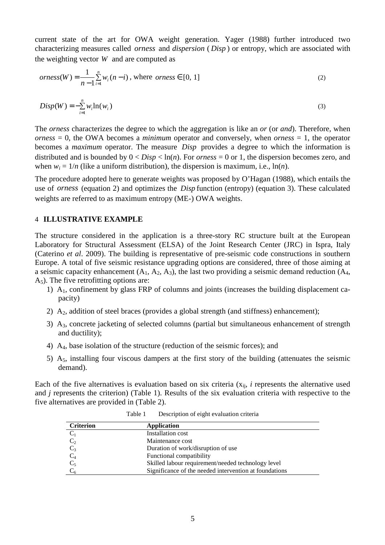current state of the art for OWA weight generation. Yager (1988) further introduced two characterizing measures called *orness* and *dispersion* ( *Disp* ) or entropy, which are associated with the weighting vector *W* and are computed as

$$
orness(W) = \frac{1}{n-1} \sum_{i=1}^{n} w_i (n-i), \text{ where } orness \in [0, 1]
$$
\n<sup>(2)</sup>

$$
Disp(W) = -\sum_{i=1}^{n} w_i \ln(w_i)
$$
\n(3)

The *orness* characterizes the degree to which the aggregation is like an *or* (or *and*). Therefore, when *orness* = 0, the OWA becomes a *minimum* operator and conversely, when *orness* = 1, the operator becomes a *maximum* operator. The measure *Disp* provides a degree to which the information is distributed and is bounded by  $0 <$  *Disp*  $<$  ln(*n*). For *orness* = 0 or 1, the dispersion becomes zero, and when  $w_i = 1/n$  (like a uniform distribution), the dispersion is maximum, i.e.,  $\ln(n)$ .

The procedure adopted here to generate weights was proposed by O'Hagan (1988), which entails the use of *orness* (equation 2) and optimizes the *Disp* function (entropy) (equation 3). These calculated weights are referred to as maximum entropy (ME-) OWA weights.

#### 4 **ILLUSTRATIVE EXAMPLE**

The structure considered in the application is a three-story RC structure built at the European Laboratory for Structural Assessment (ELSA) of the Joint Research Center (JRC) in Ispra, Italy (Caterino *et al*. 2009). The building is representative of pre-seismic code constructions in southern Europe. A total of five seismic resistance upgrading options are considered, three of those aiming at a seismic capacity enhancement  $(A_1, A_2, A_3)$ , the last two providing a seismic demand reduction  $(A_4, A_2, A_3)$  $A<sub>5</sub>$ ). The five retrofitting options are:

- 1) A1, confinement by glass FRP of columns and joints (increases the building displacement capacity)
- 2)  $A_2$ , addition of steel braces (provides a global strength (and stiffness) enhancement);
- 3) A3, concrete jacketing of selected columns (partial but simultaneous enhancement of strength and ductility);
- 4) A4, base isolation of the structure (reduction of the seismic forces); and
- 5) A5, installing four viscous dampers at the first story of the building (attenuates the seismic demand).

Each of the five alternatives is evaluation based on six criteria  $(x_{ii}, i$  represents the alternative used and *j* represents the criterion) (Table 1). Results of the six evaluation criteria with respective to the five alternatives are provided in (Table 2).

| <b>Criterion</b> | Application                                            |
|------------------|--------------------------------------------------------|
| $C_1$            | Installation cost                                      |
| $C_2$            | Maintenance cost                                       |
| $C_3$            | Duration of work/disruption of use                     |
| $C_4$            | Functional compatibility                               |
| $C_5$            | Skilled labour requirement/needed technology level     |
|                  | Significance of the needed intervention at foundations |

Table 1 Description of eight evaluation criteria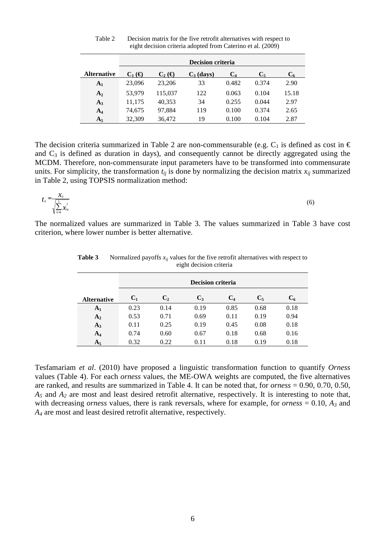|                    | <b>Decision criteria</b> |                                            |              |                |       |       |
|--------------------|--------------------------|--------------------------------------------|--------------|----------------|-------|-------|
| <b>Alternative</b> | $C_1 \times$             | $\mathbf{C}$ , ( $\boldsymbol{\epsilon}$ ) | $C_3$ (days) | C <sub>4</sub> | C.    |       |
| A <sub>1</sub>     | 23,096                   | 23,206                                     | 33           | 0.482          | 0.374 | 2.90  |
| A <sub>2</sub>     | 53.979                   | 115,037                                    | 122          | 0.063          | 0.104 | 15.18 |
| $A_3$              | 11,175                   | 40,353                                     | 34           | 0.255          | 0.044 | 2.97  |
| $A_4$              | 74,675                   | 97.884                                     | 119          | 0.100          | 0.374 | 2.65  |
| $A_5$              | 32,309                   | 36,472                                     | 19           | 0.100          | 0.104 | 2.87  |

Table 2 Decision matrix for the five retrofit alternatives with respect to eight decision criteria adopted from Caterino et al. (2009)

The decision criteria summarized in Table 2 are non-commensurable (e.g.  $C_1$  is defined as cost in  $\epsilon$ and  $C_3$  is defined as duration in days), and consequently cannot be directly aggregated using the MCDM. Therefore, non-commensurate input parameters have to be transformed into commensurate units. For simplicity, the transformation  $t_{ij}$  is done by normalizing the decision matrix  $x_{ij}$  summarized in Table 2, using TOPSIS normalization method:

$$
t_{ij} = \frac{\chi_{ij}}{\sqrt{\sum_{k=1}^{5} \chi_{kj}^2}}
$$
(6)

The normalized values are summarized in Table 3. The values summarized in Table 3 have cost criterion, where lower number is better alternative.

|                    | <b>Decision criteria</b> |                |       |       |       |                  |
|--------------------|--------------------------|----------------|-------|-------|-------|------------------|
| <b>Alternative</b> | $C_1$                    | C <sub>2</sub> | $C_3$ | $C_4$ | $C_5$ | $\mathbf{C_{6}}$ |
| A <sub>1</sub>     | 0.23                     | 0.14           | 0.19  | 0.85  | 0.68  | 0.18             |
| $A_2$              | 0.53                     | 0.71           | 0.69  | 0.11  | 0.19  | 0.94             |
| $A_3$              | 0.11                     | 0.25           | 0.19  | 0.45  | 0.08  | 0.18             |
| $A_4$              | 0.74                     | 0.60           | 0.67  | 0.18  | 0.68  | 0.16             |
| $A_5$              | 0.32                     | 0.22           | 0.11  | 0.18  | 0.19  | 0.18             |

**Table 3** Normalized payoffs  $x_{ij}$  values for the five retrofit alternatives with respect to eight decision criteria

Tesfamariam *et al*. (2010) have proposed a linguistic transformation function to quantify *Orness* values (Table 4). For each *orness* values, the ME-OWA weights are computed, the five alternatives are ranked, and results are summarized in Table 4. It can be noted that, for *orness* = 0.90, 0.70, 0.50, *A5* and *A2* are most and least desired retrofit alternative, respectively. It is interesting to note that, with decreasing *orness* values, there is rank reversals, where for example, for *orness* = 0.10, *A3* and *A4* are most and least desired retrofit alternative, respectively.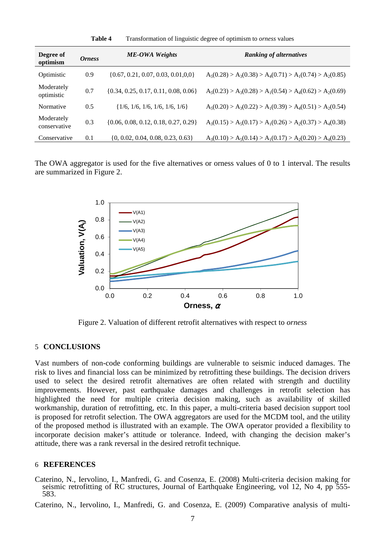| Degree of<br>optimism      | <i><b>Orness</b></i> | <b>ME-OWA Weights</b>                    | <b>Ranking of alternatives</b>                              |
|----------------------------|----------------------|------------------------------------------|-------------------------------------------------------------|
| Optimistic                 | 0.9                  | $\{0.67, 0.21, 0.07, 0.03, 0.01, 0.0\}$  | $A_5(0.28) > A_3(0.38) > A_4(0.71) > A_1(0.74) > A_2(0.85)$ |
| Moderately<br>optimistic   | 0.7                  | $\{0.34, 0.25, 0.17, 0.11, 0.08, 0.06\}$ | $A_5(0.23) > A_3(0.28) > A_1(0.54) > A_4(0.62) > A_2(0.69)$ |
| Normative                  | 0.5                  | $\{1/6, 1/6, 1/6, 1/6, 1/6, 1/6\}$       | $A_5(0.20) > A_3(0.22) > A_1(0.39) > A_4(0.51) > A_2(0.54)$ |
| Moderately<br>conservative | 0.3                  | $\{0.06, 0.08, 0.12, 0.18, 0.27, 0.29\}$ | $A_3(0.15) > A_5(0.17) > A_1(0.26) > A_2(0.37) > A_4(0.38)$ |
| Conservative               | 0.1                  | $\{0, 0.02, 0.04, 0.08, 0.23, 0.63\}$    | $A_3(0.10) > A_5(0.14) > A_1(0.17) > A_2(0.20) > A_4(0.23)$ |

**Table 4** Transformation of linguistic degree of optimism to *orness* values

The OWA aggregator is used for the five alternatives or orness values of 0 to 1 interval. The results are summarized in Figure 2.



Figure 2. Valuation of different retrofit alternatives with respect to *orness*

#### 5 **CONCLUSIONS**

Vast numbers of non-code conforming buildings are vulnerable to seismic induced damages. The risk to lives and financial loss can be minimized by retrofitting these buildings. The decision drivers used to select the desired retrofit alternatives are often related with strength and ductility improvements. However, past earthquake damages and challenges in retrofit selection has highlighted the need for multiple criteria decision making, such as availability of skilled workmanship, duration of retrofitting, etc. In this paper, a multi-criteria based decision support tool is proposed for retrofit selection. The OWA aggregators are used for the MCDM tool, and the utility of the proposed method is illustrated with an example. The OWA operator provided a flexibility to incorporate decision maker's attitude or tolerance. Indeed, with changing the decision maker's attitude, there was a rank reversal in the desired retrofit technique.

#### 6 **REFERENCES**

Caterino, N., Iervolino, I., Manfredi, G. and Cosenza, E. (2008) Multi-criteria decision making for seismic retrofitting of RC structures, Journal of Earthquake Engineering, vol 12, No 4, pp 555- 583.

Caterino, N., Iervolino, I., Manfredi, G. and Cosenza, E. (2009) Comparative analysis of multi-